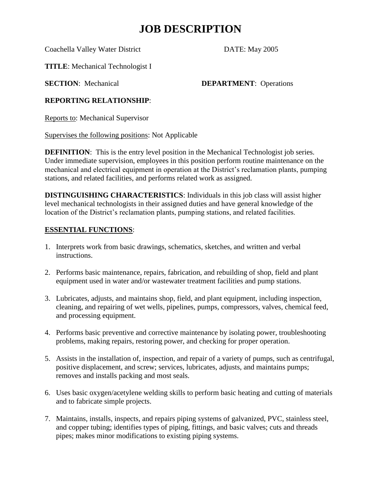## **JOB DESCRIPTION**

Coachella Valley Water District DATE: May 2005

**TITLE**: Mechanical Technologist I

**SECTION:** Mechanical **DEPARTMENT**: Operations

### **REPORTING RELATIONSHIP**:

Reports to: Mechanical Supervisor

Supervises the following positions: Not Applicable

**DEFINITION:** This is the entry level position in the Mechanical Technologist job series. Under immediate supervision, employees in this position perform routine maintenance on the mechanical and electrical equipment in operation at the District's reclamation plants, pumping stations, and related facilities, and performs related work as assigned.

**DISTINGUISHING CHARACTERISTICS**: Individuals in this job class will assist higher level mechanical technologists in their assigned duties and have general knowledge of the location of the District's reclamation plants, pumping stations, and related facilities.

### **ESSENTIAL FUNCTIONS**:

- 1. Interprets work from basic drawings, schematics, sketches, and written and verbal instructions.
- 2. Performs basic maintenance, repairs, fabrication, and rebuilding of shop, field and plant equipment used in water and/or wastewater treatment facilities and pump stations.
- 3. Lubricates, adjusts, and maintains shop, field, and plant equipment, including inspection, cleaning, and repairing of wet wells, pipelines, pumps, compressors, valves, chemical feed, and processing equipment.
- 4. Performs basic preventive and corrective maintenance by isolating power, troubleshooting problems, making repairs, restoring power, and checking for proper operation.
- 5. Assists in the installation of, inspection, and repair of a variety of pumps, such as centrifugal, positive displacement, and screw; services, lubricates, adjusts, and maintains pumps; removes and installs packing and most seals.
- 6. Uses basic oxygen/acetylene welding skills to perform basic heating and cutting of materials and to fabricate simple projects.
- 7. Maintains, installs, inspects, and repairs piping systems of galvanized, PVC, stainless steel, and copper tubing; identifies types of piping, fittings, and basic valves; cuts and threads pipes; makes minor modifications to existing piping systems.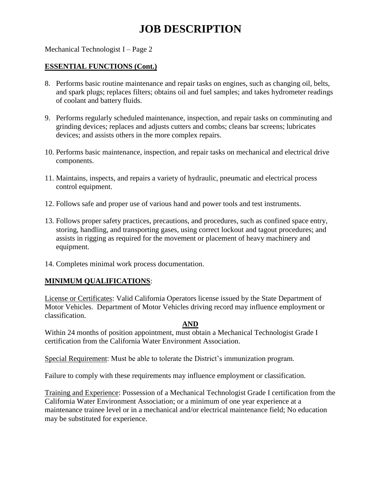# **JOB DESCRIPTION**

#### Mechanical Technologist I – Page 2

#### **ESSENTIAL FUNCTIONS (Cont.)**

- 8. Performs basic routine maintenance and repair tasks on engines, such as changing oil, belts, and spark plugs; replaces filters; obtains oil and fuel samples; and takes hydrometer readings of coolant and battery fluids.
- 9. Performs regularly scheduled maintenance, inspection, and repair tasks on comminuting and grinding devices; replaces and adjusts cutters and combs; cleans bar screens; lubricates devices; and assists others in the more complex repairs.
- 10. Performs basic maintenance, inspection, and repair tasks on mechanical and electrical drive components.
- 11. Maintains, inspects, and repairs a variety of hydraulic, pneumatic and electrical process control equipment.
- 12. Follows safe and proper use of various hand and power tools and test instruments.
- 13. Follows proper safety practices, precautions, and procedures, such as confined space entry, storing, handling, and transporting gases, using correct lockout and tagout procedures; and assists in rigging as required for the movement or placement of heavy machinery and equipment.
- 14. Completes minimal work process documentation.

### **MINIMUM QUALIFICATIONS**:

License or Certificates: Valid California Operators license issued by the State Department of Motor Vehicles. Department of Motor Vehicles driving record may influence employment or classification.

#### **AND**

Within 24 months of position appointment, must obtain a Mechanical Technologist Grade I certification from the California Water Environment Association.

Special Requirement: Must be able to tolerate the District's immunization program.

Failure to comply with these requirements may influence employment or classification.

Training and Experience: Possession of a Mechanical Technologist Grade I certification from the California Water Environment Association; or a minimum of one year experience at a maintenance trainee level or in a mechanical and/or electrical maintenance field; No education may be substituted for experience.